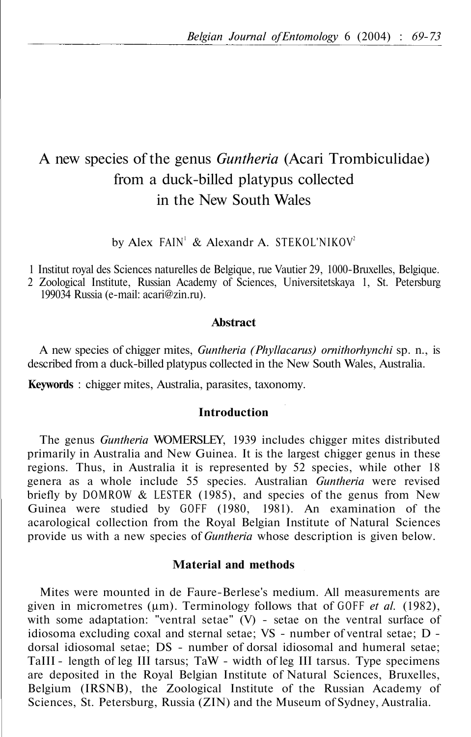# A new species of the genus *Guntheria* (Acari Trombiculidae) from a duck-billed platypus collected in the New South Wales

by Alex FAIN<sup>1</sup> & Alexandr A. STEKOL'NIKOV<sup>2</sup>

1 Institut royal des Sciences naturelles de Belgique, rue Vautier 29, 1000-Bruxelles, Belgique.

2 Zoological Institute, Russian Academy of Sciences, Universitetskaya 1, St. Petersburg 199034 Russia (e-mail: acari@zin.ru).

## **Abstract**

A new species of chigger mites, *Guntheria (Phyllacarus) ornithorhynchi* sp. n., is described from a duck-billed platypus collected in the New South Wales, Australia.

**Keywords** : chigger mites, Australia, parasites, taxonomy.

## **Introduction**

The genus *Guntheria* WOMERSLEY, 1939 includes chigger mites distributed primarily in Australia and New Guinea. It is the largest chigger genus in these regions. Thus, in Australia it is represented by 52 species, while other 18 genera as a whole include 55 species. Australian *Guntheria* were revised briefly by DOMROW & LESTER (1985), and species of the genus from New Guinea were studied by GOFF (1980, 1981). An examination of the acarological collection from the Royal Belgian Institute of Natural Sciences provide us with a new species of *Guntheria* whose description is given below.

# **Material and methods**

Mites were mounted in de Faure-Berlese's medium. All measurements are given in micrometres (μm). Terminology follows that of GOFF *et al.* (1982), with some adaptation: "ventral setae"  $(V)$  - setae on the ventral surface of idiosoma excluding coxal and sternal setae; VS - number of ventral setae; D dorsal idiosomal setae; DS - number of dorsal idiosomal and humeral setae; TaIII - length of leg III tarsus; TaW - width of leg III tarsus. Type specimens are deposited in the Royal Belgian Institute of Natural Sciences, Bruxelles, Belgium (IRSNB), the Zoological Institute of the Russian Academy of Sciences, St. Petersburg, Russia (ZIN) and the Museum of Sydney, Australia.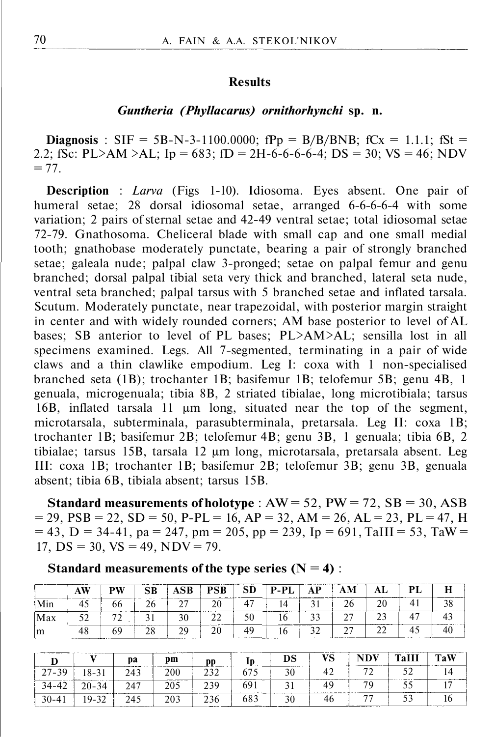## **Results**

### *Guntheria (Phyllacarus) ornithorhynchi* **sp. n.**

**Diagnosis** : SIF = 5B-N-3-1100.0000;  $fPp = B/B/BNB$ ;  $fCx = 1.1.1$ ;  $fSt =$ 2.2; fSc: PL>AM >AL; Ip = 683; fD = 2H-6-6-6-6-4; DS = 30; VS = 46; NDV  $= 77.$ 

**Description** : *Larva* (Figs 1-10). Idiosoma. Eyes absent. One pair of humeral setae; 28 dorsal idiosomal setae, arranged 6-6-6-6-4 with some variation; 2 pairs of sternal setae and 42-49 ventral setae; total idiosomal setae 72-79. Gnathosoma. Cheliceral blade with small cap and one small medial tooth; gnathobase moderately punctate, bearing a pair of strongly branched setae; galeala nude; palpal claw 3-pronged; setae on palpal femur and genu branched; dorsal palpal tibial seta very thick and branched, lateral seta nude, ventral seta branched; palpal tarsus with 5 branched setae and inflated tarsala. Scutum. Moderately punctate, near trapezoidal, with posterior margin straight in center and with widely rounded corners; AM base posterior to level of AL bases; SB anterior to level of PL bases; PL>AM>AL; sensilla lost in all specimens examined. Legs. All 7-segmented, terminating in a pair of wide claws and a thin clawlike empodium. Leg I: coxa with 1 non-specialised branched seta (1B); trochanter 1B; basifemur 1B; telofemur 5B; genu 4B, 1 genuala, microgenuala; tibia 8B, 2 striated tibialae, long microtibiala; tarsus 16B, inflated tarsala 11 μm long, situated near the top of the segment, microtarsala, subterminala, parasubterminala, pretarsala. Leg II: coxa 1B; trochanter 1B; basifemur 2B; telofemur 4B; genu 3B, 1 genuala; tibia 6B, 2 tibialae; tarsus 15B, tarsala 12 μm long, microtarsala, pretarsala absent. Leg III: coxa 1B; trochanter 1B; basifemur 2B; telofemur 3B; genu 3B, genuala absent; tibia 6B, tibiala absent; tarsus 15B.

**Standard measurements of holotype** :  $AW = 52$ ,  $PW = 72$ ,  $SB = 30$ ,  $ASB$  $= 29$ ,  $PSB = 22$ ,  $SD = 50$ ,  $P-PL = 16$ ,  $AP = 32$ ,  $AM = 26$ ,  $AL = 23$ ,  $PL = 47$ ,  $H = 29$  $= 43$ , D = 34-41, pa = 247, pm = 205, pp = 239, Ip = 691, TaIII = 53, TaW = 17,  $DS = 30$ ,  $VS = 49$ ,  $NDV = 79$ .

| Standard measurements of the type series $(N = 4)$ : |  |  |  |  |
|------------------------------------------------------|--|--|--|--|
|------------------------------------------------------|--|--|--|--|

|     | AW                                                    | <b>PW</b>                                 | CD                                                                        | <b>AUL</b>             | PSB                        | SD             | '-PL<br>------ | . D    | ЛL         | וס<br>----- |    |
|-----|-------------------------------------------------------|-------------------------------------------|---------------------------------------------------------------------------|------------------------|----------------------------|----------------|----------------|--------|------------|-------------|----|
|     | -45                                                   | bb                                        | 20                                                                        | <b>CAR DESCRIPTION</b> | 20                         | $\overline{ }$ |                |        |            |             | ◡  |
| Max | ◡                                                     | properties the complete property services |                                                                           | 30                     | <u>_</u>                   |                |                | $\sim$ | ---------- |             |    |
| m   | <b>COLORADO</b><br>48<br>provided and contract of the | 60                                        | account in the contract prints and contract the company of the<br>c<br>20 | οq                     | <b>THEFT PARTIES</b><br>20 |                | 10             | $\sim$ |            |             | тv |

|           |           | Da<br>______             | pm                                       | pp           |     | DS     | VS                           | NDV<br>_______ | TaW |
|-----------|-----------|--------------------------|------------------------------------------|--------------|-----|--------|------------------------------|----------------|-----|
| $27 - 39$ | 18-31     | 243                      | 200                                      | າ າ າ        |     | 30     | 47<br>. .                    |                |     |
| $34 - 42$ | $20 - 34$ | 247                      | <b>ANARLIN WORKSHIP</b><br>205<br>------ | 239<br>----- | 691 | $\sim$ | <b>CONTRACTOR</b> CONTRACTOR | 70             |     |
| $30 - 41$ | $19 - 32$ | <b>CONTRACTOR</b><br>245 | 203                                      | 236          | 683 | 30     | 46                           |                |     |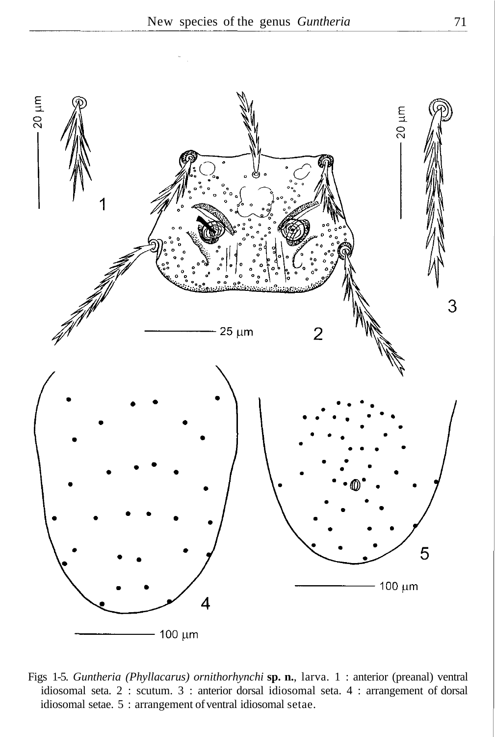

Figs 1-5. *Guntheria (Phyllacarus) ornithorhynchi* **sp. n.**, larva. 1 : anterior (preanal) ventral idiosomal seta. 2 : scutum. 3 : anterior dorsal idiosomal seta. 4 : arrangement of dorsal idiosomal setae. 5 : arrangement of ventral idiosomal setae.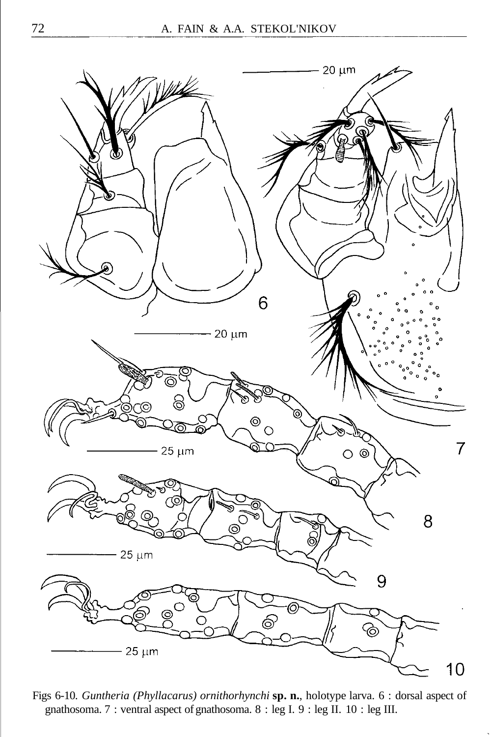

Figs 6-10. *Guntheria (Phyllacarus) ornithorhynchi* **sp. n.**, holotype larva. 6 : dorsal aspect of gnathosoma. 7 : ventral aspect of gnathosoma. 8 : leg I. 9 : leg II. 10 : leg III.